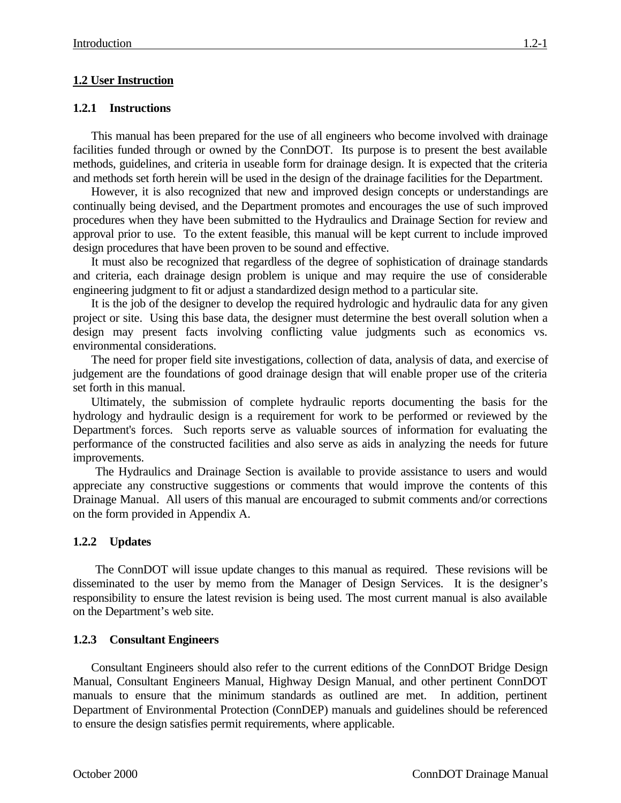# **1.2 User Instruction**

#### **1.2.1 Instructions**

This manual has been prepared for the use of all engineers who become involved with drainage facilities funded through or owned by the ConnDOT. Its purpose is to present the best available methods, guidelines, and criteria in useable form for drainage design. It is expected that the criteria and methods set forth herein will be used in the design of the drainage facilities for the Department.

However, it is also recognized that new and improved design concepts or understandings are continually being devised, and the Department promotes and encourages the use of such improved procedures when they have been submitted to the Hydraulics and Drainage Section for review and approval prior to use. To the extent feasible, this manual will be kept current to include improved design procedures that have been proven to be sound and effective.

It must also be recognized that regardless of the degree of sophistication of drainage standards and criteria, each drainage design problem is unique and may require the use of considerable engineering judgment to fit or adjust a standardized design method to a particular site.

It is the job of the designer to develop the required hydrologic and hydraulic data for any given project or site. Using this base data, the designer must determine the best overall solution when a design may present facts involving conflicting value judgments such as economics vs. environmental considerations.

The need for proper field site investigations, collection of data, analysis of data, and exercise of judgement are the foundations of good drainage design that will enable proper use of the criteria set forth in this manual.

Ultimately, the submission of complete hydraulic reports documenting the basis for the hydrology and hydraulic design is a requirement for work to be performed or reviewed by the Department's forces. Such reports serve as valuable sources of information for evaluating the performance of the constructed facilities and also serve as aids in analyzing the needs for future improvements.

The Hydraulics and Drainage Section is available to provide assistance to users and would appreciate any constructive suggestions or comments that would improve the contents of this Drainage Manual. All users of this manual are encouraged to submit comments and/or corrections on the form provided in Appendix A.

## **1.2.2 Updates**

The ConnDOT will issue update changes to this manual as required. These revisions will be disseminated to the user by memo from the Manager of Design Services. It is the designer's responsibility to ensure the latest revision is being used. The most current manual is also available on the Department's web site.

#### **1.2.3 Consultant Engineers**

Consultant Engineers should also refer to the current editions of the ConnDOT Bridge Design Manual, Consultant Engineers Manual, Highway Design Manual, and other pertinent ConnDOT manuals to ensure that the minimum standards as outlined are met. In addition, pertinent Department of Environmental Protection (ConnDEP) manuals and guidelines should be referenced to ensure the design satisfies permit requirements, where applicable.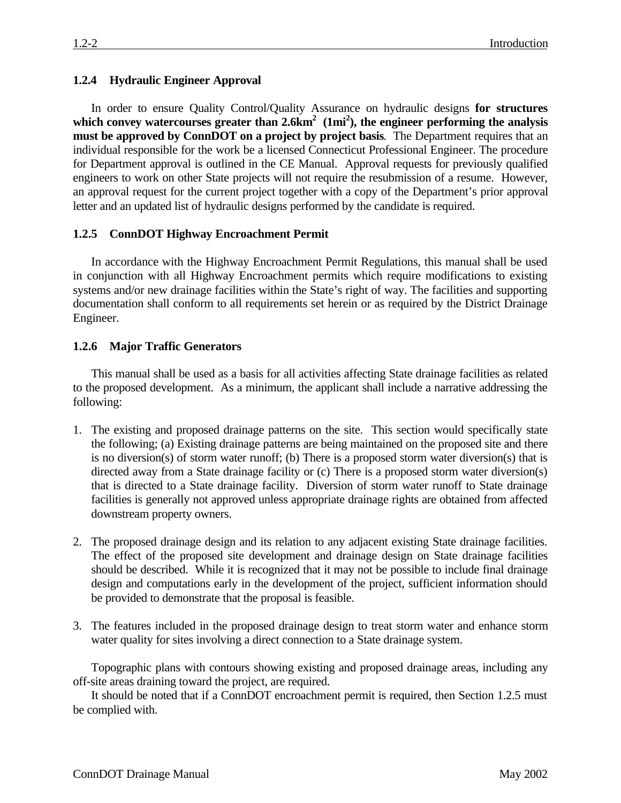### **1.2.4 Hydraulic Engineer Approval**

In order to ensure Quality Control/Quality Assurance on hydraulic designs **for structures which convey watercourses greater than 2.6km<sup>2</sup> (1mi<sup>2</sup> ), the engineer performing the analysis must be approved by ConnDOT on a project by project basis**. The Department requires that an individual responsible for the work be a licensed Connecticut Professional Engineer. The procedure for Department approval is outlined in the CE Manual. Approval requests for previously qualified engineers to work on other State projects will not require the resubmission of a resume. However, an approval request for the current project together with a copy of the Department's prior approval letter and an updated list of hydraulic designs performed by the candidate is required.

## **1.2.5 ConnDOT Highway Encroachment Permit**

In accordance with the Highway Encroachment Permit Regulations, this manual shall be used in conjunction with all Highway Encroachment permits which require modifications to existing systems and/or new drainage facilities within the State's right of way. The facilities and supporting documentation shall conform to all requirements set herein or as required by the District Drainage Engineer.

#### **1.2.6 Major Traffic Generators**

This manual shall be used as a basis for all activities affecting State drainage facilities as related to the proposed development. As a minimum, the applicant shall include a narrative addressing the following:

- 1. The existing and proposed drainage patterns on the site. This section would specifically state the following; (a) Existing drainage patterns are being maintained on the proposed site and there is no diversion(s) of storm water runoff; (b) There is a proposed storm water diversion(s) that is directed away from a State drainage facility or (c) There is a proposed storm water diversion(s) that is directed to a State drainage facility. Diversion of storm water runoff to State drainage facilities is generally not approved unless appropriate drainage rights are obtained from affected downstream property owners.
- 2. The proposed drainage design and its relation to any adjacent existing State drainage facilities. The effect of the proposed site development and drainage design on State drainage facilities should be described. While it is recognized that it may not be possible to include final drainage design and computations early in the development of the project, sufficient information should be provided to demonstrate that the proposal is feasible.
- 3. The features included in the proposed drainage design to treat storm water and enhance storm water quality for sites involving a direct connection to a State drainage system.

Topographic plans with contours showing existing and proposed drainage areas, including any off-site areas draining toward the project, are required.

It should be noted that if a ConnDOT encroachment permit is required, then Section 1.2.5 must be complied with.